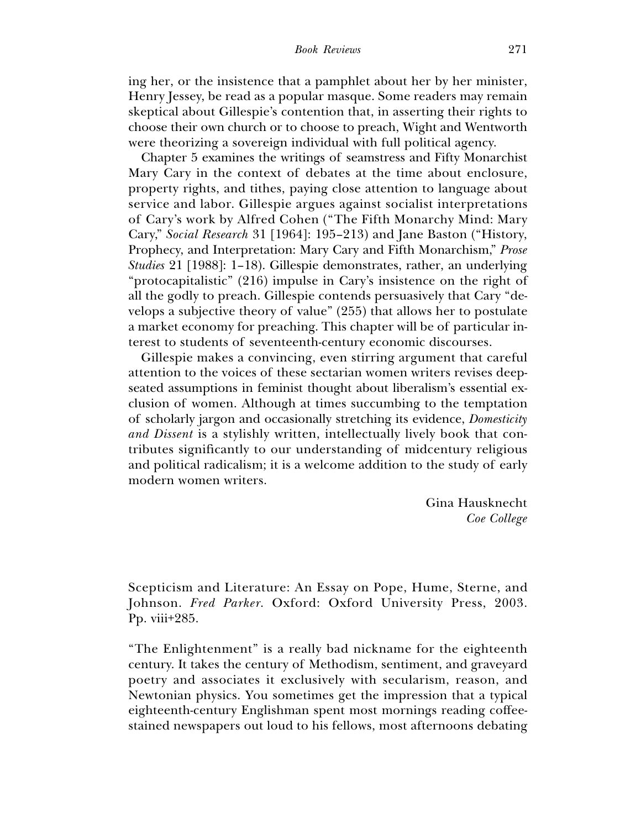ing her, or the insistence that a pamphlet about her by her minister, Henry Jessey, be read as a popular masque. Some readers may remain skeptical about Gillespie's contention that, in asserting their rights to choose their own church or to choose to preach, Wight and Wentworth were theorizing a sovereign individual with full political agency.

Chapter 5 examines the writings of seamstress and Fifty Monarchist Mary Cary in the context of debates at the time about enclosure, property rights, and tithes, paying close attention to language about service and labor. Gillespie argues against socialist interpretations of Cary's work by Alfred Cohen ("The Fifth Monarchy Mind: Mary Cary," *Social Research* 31 [1964]: 195–213) and Jane Baston ("History, Prophecy, and Interpretation: Mary Cary and Fifth Monarchism," *Prose Studies* 21 [1988]: 1–18). Gillespie demonstrates, rather, an underlying "protocapitalistic" (216) impulse in Cary's insistence on the right of all the godly to preach. Gillespie contends persuasively that Cary "develops a subjective theory of value" (255) that allows her to postulate a market economy for preaching. This chapter will be of particular interest to students of seventeenth-century economic discourses.

Gillespie makes a convincing, even stirring argument that careful attention to the voices of these sectarian women writers revises deepseated assumptions in feminist thought about liberalism's essential exclusion of women. Although at times succumbing to the temptation of scholarly jargon and occasionally stretching its evidence, *Domesticity and Dissent* is a stylishly written, intellectually lively book that contributes significantly to our understanding of midcentury religious and political radicalism; it is a welcome addition to the study of early modern women writers.

> Gina Hausknecht *Coe College*

Scepticism and Literature: An Essay on Pope, Hume, Sterne, and Johnson. *Fred Parker*. Oxford: Oxford University Press, 2003. Pp. viii+285.

"The Enlightenment" is a really bad nickname for the eighteenth century. It takes the century of Methodism, sentiment, and graveyard poetry and associates it exclusively with secularism, reason, and Newtonian physics. You sometimes get the impression that a typical eighteenth-century Englishman spent most mornings reading coffeestained newspapers out loud to his fellows, most afternoons debating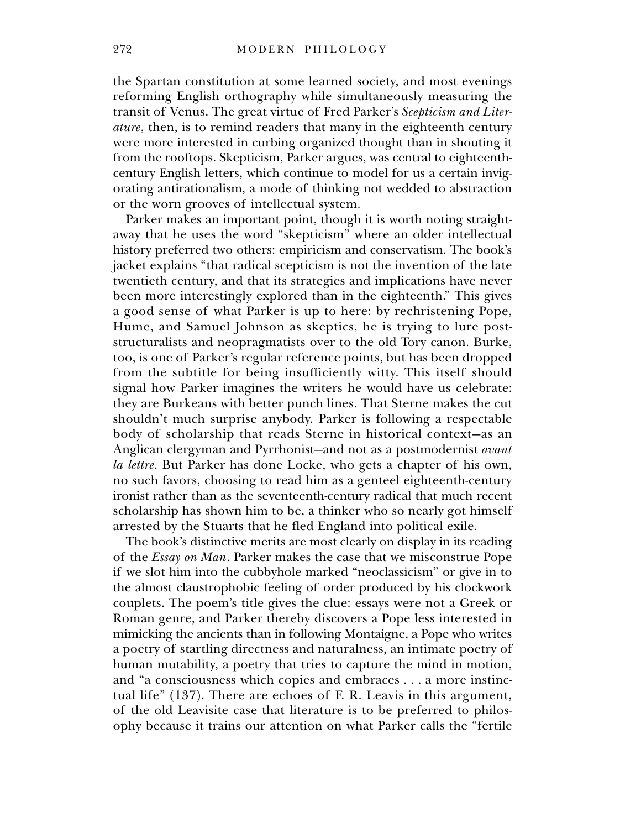the Spartan constitution at some learned society, and most evenings reforming English orthography while simultaneously measuring the transit of Venus. The great virtue of Fred Parker's *Scepticism and Literature*, then, is to remind readers that many in the eighteenth century were more interested in curbing organized thought than in shouting it from the rooftops. Skepticism, Parker argues, was central to eighteenthcentury English letters, which continue to model for us a certain invigorating antirationalism, a mode of thinking not wedded to abstraction or the worn grooves of intellectual system.

Parker makes an important point, though it is worth noting straightaway that he uses the word "skepticism" where an older intellectual history preferred two others: empiricism and conservatism. The book's jacket explains "that radical scepticism is not the invention of the late twentieth century, and that its strategies and implications have never been more interestingly explored than in the eighteenth." This gives a good sense of what Parker is up to here: by rechristening Pope, Hume, and Samuel Johnson as skeptics, he is trying to lure poststructuralists and neopragmatists over to the old Tory canon. Burke, too, is one of Parker's regular reference points, but has been dropped from the subtitle for being insufficiently witty. This itself should signal how Parker imagines the writers he would have us celebrate: they are Burkeans with better punch lines. That Sterne makes the cut shouldn't much surprise anybody. Parker is following a respectable body of scholarship that reads Sterne in historical context—as an Anglican clergyman and Pyrrhonist—and not as a postmodernist *avant la lettre*. But Parker has done Locke, who gets a chapter of his own, no such favors, choosing to read him as a genteel eighteenth-century ironist rather than as the seventeenth-century radical that much recent scholarship has shown him to be, a thinker who so nearly got himself arrested by the Stuarts that he fled England into political exile.

The book's distinctive merits are most clearly on display in its reading of the *Essay on Man*. Parker makes the case that we misconstrue Pope if we slot him into the cubbyhole marked "neoclassicism" or give in to the almost claustrophobic feeling of order produced by his clockwork couplets. The poem's title gives the clue: essays were not a Greek or Roman genre, and Parker thereby discovers a Pope less interested in mimicking the ancients than in following Montaigne, a Pope who writes a poetry of startling directness and naturalness, an intimate poetry of human mutability, a poetry that tries to capture the mind in motion, and "a consciousness which copies and embraces . . . a more instinctual life" (137). There are echoes of F. R. Leavis in this argument, of the old Leavisite case that literature is to be preferred to philosophy because it trains our attention on what Parker calls the "fertile